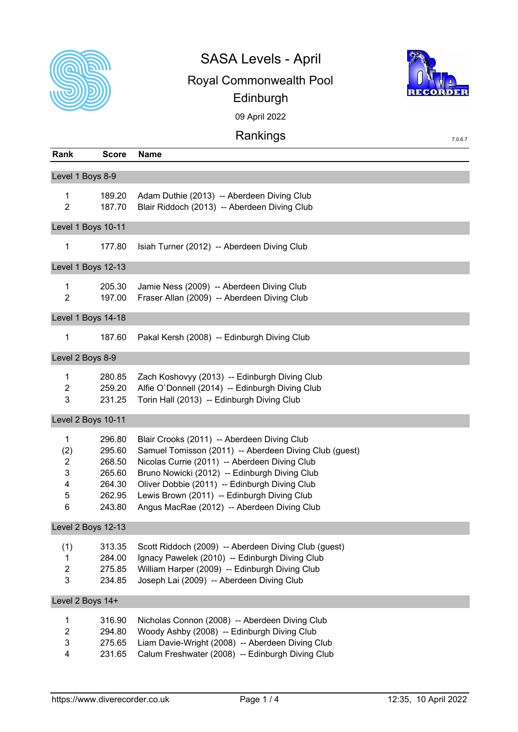

## SASA Levels - April Royal Commonwealth Pool



7.0.6.7

Edinburgh

09 April 2022

## Rankings

| Rank                                        | <b>Score</b>                                                       | <b>Name</b>                                                                                                                                                                                                                                                                                                                                            |  |  |  |  |
|---------------------------------------------|--------------------------------------------------------------------|--------------------------------------------------------------------------------------------------------------------------------------------------------------------------------------------------------------------------------------------------------------------------------------------------------------------------------------------------------|--|--|--|--|
| Level 1 Boys 8-9                            |                                                                    |                                                                                                                                                                                                                                                                                                                                                        |  |  |  |  |
| $\mathbf{1}$<br>$\overline{2}$              | 189.20<br>187.70                                                   | Adam Duthie (2013) -- Aberdeen Diving Club<br>Blair Riddoch (2013) -- Aberdeen Diving Club                                                                                                                                                                                                                                                             |  |  |  |  |
|                                             | Level 1 Boys 10-11                                                 |                                                                                                                                                                                                                                                                                                                                                        |  |  |  |  |
| $\mathbf 1$                                 | 177.80                                                             | Isiah Turner (2012) -- Aberdeen Diving Club                                                                                                                                                                                                                                                                                                            |  |  |  |  |
|                                             | Level 1 Boys 12-13                                                 |                                                                                                                                                                                                                                                                                                                                                        |  |  |  |  |
| $\mathbf 1$<br>$\overline{2}$               | 205.30<br>197.00                                                   | Jamie Ness (2009) -- Aberdeen Diving Club<br>Fraser Allan (2009) -- Aberdeen Diving Club                                                                                                                                                                                                                                                               |  |  |  |  |
|                                             | Level 1 Boys 14-18                                                 |                                                                                                                                                                                                                                                                                                                                                        |  |  |  |  |
| $\mathbf{1}$                                | 187.60                                                             | Pakal Kersh (2008) -- Edinburgh Diving Club                                                                                                                                                                                                                                                                                                            |  |  |  |  |
| Level 2 Boys 8-9                            |                                                                    |                                                                                                                                                                                                                                                                                                                                                        |  |  |  |  |
| $\mathbf{1}$<br>$\overline{c}$<br>3         | 280.85<br>259.20<br>231.25                                         | Zach Koshovyy (2013) -- Edinburgh Diving Club<br>Alfie O'Donnell (2014) -- Edinburgh Diving Club<br>Torin Hall (2013) -- Edinburgh Diving Club                                                                                                                                                                                                         |  |  |  |  |
|                                             | Level 2 Boys 10-11                                                 |                                                                                                                                                                                                                                                                                                                                                        |  |  |  |  |
| $\mathbf 1$<br>(2)<br>2<br>3<br>4<br>5<br>6 | 296.80<br>295.60<br>268.50<br>265.60<br>264.30<br>262.95<br>243.80 | Blair Crooks (2011) -- Aberdeen Diving Club<br>Samuel Tomisson (2011) -- Aberdeen Diving Club (guest)<br>Nicolas Currie (2011) -- Aberdeen Diving Club<br>Bruno Nowicki (2012) -- Edinburgh Diving Club<br>Oliver Dobbie (2011) -- Edinburgh Diving Club<br>Lewis Brown (2011) -- Edinburgh Diving Club<br>Angus MacRae (2012) -- Aberdeen Diving Club |  |  |  |  |
|                                             | Level 2 Boys 12-13                                                 |                                                                                                                                                                                                                                                                                                                                                        |  |  |  |  |
| (1)<br>1<br>$\overline{\mathbf{c}}$<br>3    | 313.35<br>284.00<br>275.85<br>234.85                               | Scott Riddoch (2009) -- Aberdeen Diving Club (guest)<br>Ignacy Pawelek (2010) -- Edinburgh Diving Club<br>William Harper (2009) -- Edinburgh Diving Club<br>Joseph Lai (2009) -- Aberdeen Diving Club                                                                                                                                                  |  |  |  |  |
| Level 2 Boys 14+                            |                                                                    |                                                                                                                                                                                                                                                                                                                                                        |  |  |  |  |
| 1<br>$\overline{2}$<br>3<br>4               | 316.90<br>294.80<br>275.65<br>231.65                               | Nicholas Connon (2008) -- Aberdeen Diving Club<br>Woody Ashby (2008) -- Edinburgh Diving Club<br>Liam Davie-Wright (2008) -- Aberdeen Diving Club<br>Calum Freshwater (2008) -- Edinburgh Diving Club                                                                                                                                                  |  |  |  |  |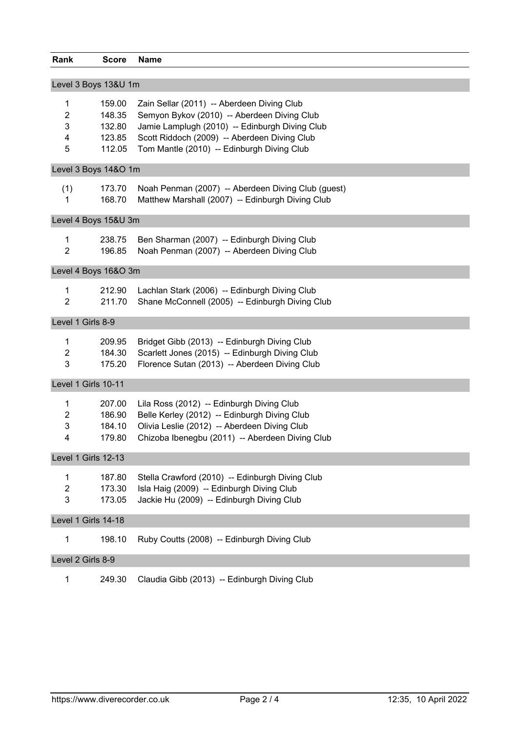| Rank                 | <b>Score</b>         | <b>Name</b>                                        |  |  |  |  |  |
|----------------------|----------------------|----------------------------------------------------|--|--|--|--|--|
| Level 3 Boys 13&U 1m |                      |                                                    |  |  |  |  |  |
|                      |                      |                                                    |  |  |  |  |  |
| 1                    | 159.00               | Zain Sellar (2011) -- Aberdeen Diving Club         |  |  |  |  |  |
| 2                    | 148.35               | Semyon Bykov (2010) -- Aberdeen Diving Club        |  |  |  |  |  |
| 3                    | 132.80               | Jamie Lamplugh (2010) -- Edinburgh Diving Club     |  |  |  |  |  |
| 4                    | 123.85               | Scott Riddoch (2009) -- Aberdeen Diving Club       |  |  |  |  |  |
| 5                    | 112.05               | Tom Mantle (2010) -- Edinburgh Diving Club         |  |  |  |  |  |
|                      | Level 3 Boys 14&O 1m |                                                    |  |  |  |  |  |
|                      |                      |                                                    |  |  |  |  |  |
| (1)                  | 173.70               | Noah Penman (2007) -- Aberdeen Diving Club (guest) |  |  |  |  |  |
| 1                    | 168.70               | Matthew Marshall (2007) -- Edinburgh Diving Club   |  |  |  |  |  |
|                      | Level 4 Boys 15&U 3m |                                                    |  |  |  |  |  |
| 1                    | 238.75               | Ben Sharman (2007) -- Edinburgh Diving Club        |  |  |  |  |  |
| $\overline{2}$       | 196.85               | Noah Penman (2007) -- Aberdeen Diving Club         |  |  |  |  |  |
|                      |                      |                                                    |  |  |  |  |  |
|                      | Level 4 Boys 16&O 3m |                                                    |  |  |  |  |  |
| 1                    | 212.90               | Lachlan Stark (2006) -- Edinburgh Diving Club      |  |  |  |  |  |
| $\overline{2}$       | 211.70               | Shane McConnell (2005) -- Edinburgh Diving Club    |  |  |  |  |  |
|                      |                      |                                                    |  |  |  |  |  |
| Level 1 Girls 8-9    |                      |                                                    |  |  |  |  |  |
| 1                    | 209.95               | Bridget Gibb (2013) -- Edinburgh Diving Club       |  |  |  |  |  |
| $\overline{2}$       | 184.30               | Scarlett Jones (2015) -- Edinburgh Diving Club     |  |  |  |  |  |
| 3                    | 175.20               | Florence Sutan (2013) -- Aberdeen Diving Club      |  |  |  |  |  |
|                      | Level 1 Girls 10-11  |                                                    |  |  |  |  |  |
|                      |                      |                                                    |  |  |  |  |  |
| 1                    | 207.00               | Lila Ross (2012) -- Edinburgh Diving Club          |  |  |  |  |  |
| 2                    | 186.90               | Belle Kerley (2012) -- Edinburgh Diving Club       |  |  |  |  |  |
| 3                    | 184.10               | Olivia Leslie (2012) -- Aberdeen Diving Club       |  |  |  |  |  |
| 4                    | 179.80               | Chizoba Ibenegbu (2011) -- Aberdeen Diving Club    |  |  |  |  |  |
|                      | Level 1 Girls 12-13  |                                                    |  |  |  |  |  |
| 1                    | 187.80               | Stella Crawford (2010) -- Edinburgh Diving Club    |  |  |  |  |  |
| $\overline{c}$       | 173.30               | Isla Haig (2009) -- Edinburgh Diving Club          |  |  |  |  |  |
| 3                    | 173.05               | Jackie Hu (2009) -- Edinburgh Diving Club          |  |  |  |  |  |
|                      |                      |                                                    |  |  |  |  |  |
|                      | Level 1 Girls 14-18  |                                                    |  |  |  |  |  |
| 1                    | 198.10               | Ruby Coutts (2008) -- Edinburgh Diving Club        |  |  |  |  |  |
| Level 2 Girls 8-9    |                      |                                                    |  |  |  |  |  |
| 1                    | 249.30               | Claudia Gibb (2013) -- Edinburgh Diving Club       |  |  |  |  |  |
|                      |                      |                                                    |  |  |  |  |  |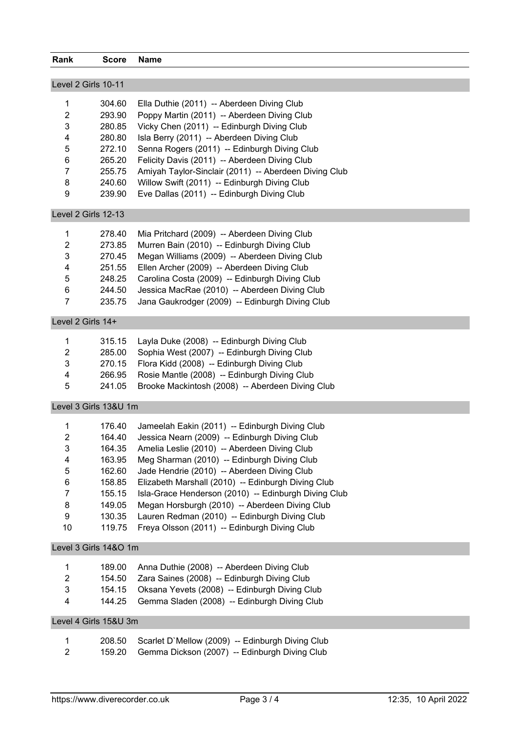| Rank                | <b>Score</b>          | <b>Name</b>                                           |  |  |  |  |
|---------------------|-----------------------|-------------------------------------------------------|--|--|--|--|
| Level 2 Girls 10-11 |                       |                                                       |  |  |  |  |
|                     |                       |                                                       |  |  |  |  |
| 1                   | 304.60                | Ella Duthie (2011) -- Aberdeen Diving Club            |  |  |  |  |
| $\overline{2}$      | 293.90                | Poppy Martin (2011) -- Aberdeen Diving Club           |  |  |  |  |
| 3                   | 280.85                | Vicky Chen (2011) -- Edinburgh Diving Club            |  |  |  |  |
| 4                   | 280.80                | Isla Berry (2011) -- Aberdeen Diving Club             |  |  |  |  |
| 5                   | 272.10                | Senna Rogers (2011) -- Edinburgh Diving Club          |  |  |  |  |
| 6                   | 265.20                | Felicity Davis (2011) -- Aberdeen Diving Club         |  |  |  |  |
| 7                   | 255.75                | Amiyah Taylor-Sinclair (2011) -- Aberdeen Diving Club |  |  |  |  |
| 8                   | 240.60                | Willow Swift (2011) -- Edinburgh Diving Club          |  |  |  |  |
| 9                   | 239.90                | Eve Dallas (2011) -- Edinburgh Diving Club            |  |  |  |  |
| Level 2 Girls 12-13 |                       |                                                       |  |  |  |  |
| 1                   | 278.40                | Mia Pritchard (2009) -- Aberdeen Diving Club          |  |  |  |  |
| $\overline{2}$      | 273.85                | Murren Bain (2010) -- Edinburgh Diving Club           |  |  |  |  |
| 3                   | 270.45                | Megan Williams (2009) -- Aberdeen Diving Club         |  |  |  |  |
| 4                   | 251.55                | Ellen Archer (2009) -- Aberdeen Diving Club           |  |  |  |  |
| 5                   | 248.25                | Carolina Costa (2009) -- Edinburgh Diving Club        |  |  |  |  |
| 6                   | 244.50                | Jessica MacRae (2010) -- Aberdeen Diving Club         |  |  |  |  |
| $\overline{7}$      | 235.75                | Jana Gaukrodger (2009) -- Edinburgh Diving Club       |  |  |  |  |
| Level 2 Girls 14+   |                       |                                                       |  |  |  |  |
| 1                   | 315.15                | Layla Duke (2008) -- Edinburgh Diving Club            |  |  |  |  |
| $\overline{c}$      | 285.00                | Sophia West (2007) -- Edinburgh Diving Club           |  |  |  |  |
| 3                   | 270.15                | Flora Kidd (2008) -- Edinburgh Diving Club            |  |  |  |  |
| 4                   | 266.95                | Rosie Mantle (2008) -- Edinburgh Diving Club          |  |  |  |  |
| 5                   | 241.05                | Brooke Mackintosh (2008) -- Aberdeen Diving Club      |  |  |  |  |
|                     |                       |                                                       |  |  |  |  |
|                     | Level 3 Girls 13&U 1m |                                                       |  |  |  |  |
| 1                   | 176.40                | Jameelah Eakin (2011) -- Edinburgh Diving Club        |  |  |  |  |
| 2                   | 164.40                | Jessica Nearn (2009) -- Edinburgh Diving Club         |  |  |  |  |
| 3                   | 164.35                | Amelia Leslie (2010) -- Aberdeen Diving Club          |  |  |  |  |
| 4                   | 163.95                | Meg Sharman (2010) -- Edinburgh Diving Club           |  |  |  |  |
| 5                   | 162.60                | Jade Hendrie (2010) -- Aberdeen Diving Club           |  |  |  |  |
| 6                   | 158.85                | Elizabeth Marshall (2010) -- Edinburgh Diving Club    |  |  |  |  |
| $\overline{7}$      | 155.15                | Isla-Grace Henderson (2010) -- Edinburgh Diving Club  |  |  |  |  |
| 8                   | 149.05                | Megan Horsburgh (2010) -- Aberdeen Diving Club        |  |  |  |  |
| 9                   | 130.35                | Lauren Redman (2010) -- Edinburgh Diving Club         |  |  |  |  |
| 10                  | 119.75                | Freya Olsson (2011) -- Edinburgh Diving Club          |  |  |  |  |
|                     | Level 3 Girls 14&O 1m |                                                       |  |  |  |  |
| 1                   | 189.00                | Anna Duthie (2008) -- Aberdeen Diving Club            |  |  |  |  |
| $\overline{2}$      | 154.50                | Zara Saines (2008) -- Edinburgh Diving Club           |  |  |  |  |
| 3                   | 154.15                | Oksana Yevets (2008) -- Edinburgh Diving Club         |  |  |  |  |
| 4                   | 144.25                | Gemma Sladen (2008) -- Edinburgh Diving Club          |  |  |  |  |
|                     | Level 4 Girls 15&U 3m |                                                       |  |  |  |  |
|                     |                       |                                                       |  |  |  |  |
| 1                   | 208.50                | Scarlet D'Mellow (2009) -- Edinburgh Diving Club      |  |  |  |  |
| $\overline{2}$      | 159.20                | Gemma Dickson (2007) -- Edinburgh Diving Club         |  |  |  |  |
|                     |                       |                                                       |  |  |  |  |